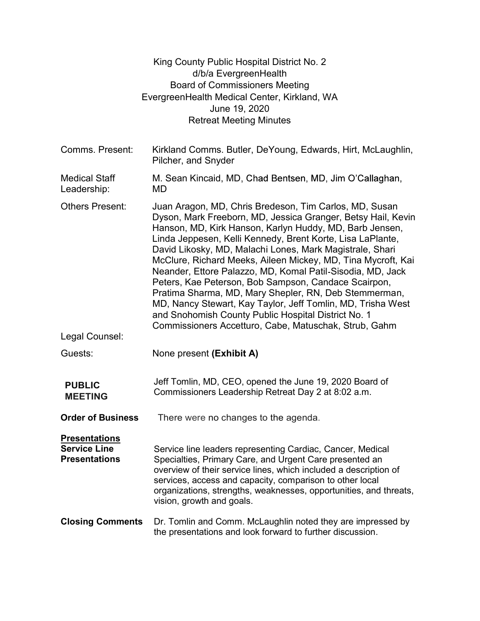|                                                                     | King County Public Hospital District No. 2<br>d/b/a EvergreenHealth<br><b>Board of Commissioners Meeting</b><br>EvergreenHealth Medical Center, Kirkland, WA<br>June 19, 2020<br><b>Retreat Meeting Minutes</b>                                                                                                                                                                                                                                                                                                                                                                                                                                                                                                                           |  |
|---------------------------------------------------------------------|-------------------------------------------------------------------------------------------------------------------------------------------------------------------------------------------------------------------------------------------------------------------------------------------------------------------------------------------------------------------------------------------------------------------------------------------------------------------------------------------------------------------------------------------------------------------------------------------------------------------------------------------------------------------------------------------------------------------------------------------|--|
| Comms. Present:                                                     | Kirkland Comms. Butler, DeYoung, Edwards, Hirt, McLaughlin,<br>Pilcher, and Snyder                                                                                                                                                                                                                                                                                                                                                                                                                                                                                                                                                                                                                                                        |  |
| <b>Medical Staff</b><br>Leadership:                                 | M. Sean Kincaid, MD, Chad Bentsen, MD, Jim O'Callaghan,<br>MD.                                                                                                                                                                                                                                                                                                                                                                                                                                                                                                                                                                                                                                                                            |  |
| <b>Others Present:</b>                                              | Juan Aragon, MD, Chris Bredeson, Tim Carlos, MD, Susan<br>Dyson, Mark Freeborn, MD, Jessica Granger, Betsy Hail, Kevin<br>Hanson, MD, Kirk Hanson, Karlyn Huddy, MD, Barb Jensen,<br>Linda Jeppesen, Kelli Kennedy, Brent Korte, Lisa LaPlante,<br>David Likosky, MD, Malachi Lones, Mark Magistrale, Shari<br>McClure, Richard Meeks, Aileen Mickey, MD, Tina Mycroft, Kai<br>Neander, Ettore Palazzo, MD, Komal Patil-Sisodia, MD, Jack<br>Peters, Kae Peterson, Bob Sampson, Candace Scairpon,<br>Pratima Sharma, MD, Mary Shepler, RN, Deb Stemmerman,<br>MD, Nancy Stewart, Kay Taylor, Jeff Tomlin, MD, Trisha West<br>and Snohomish County Public Hospital District No. 1<br>Commissioners Accetturo, Cabe, Matuschak, Strub, Gahm |  |
| Legal Counsel:                                                      |                                                                                                                                                                                                                                                                                                                                                                                                                                                                                                                                                                                                                                                                                                                                           |  |
| Guests:                                                             | None present (Exhibit A)                                                                                                                                                                                                                                                                                                                                                                                                                                                                                                                                                                                                                                                                                                                  |  |
| <b>PUBLIC</b><br><b>MEETING</b>                                     | Jeff Tomlin, MD, CEO, opened the June 19, 2020 Board of<br>Commissioners Leadership Retreat Day 2 at 8:02 a.m.                                                                                                                                                                                                                                                                                                                                                                                                                                                                                                                                                                                                                            |  |
| <b>Order of Business</b>                                            | There were no changes to the agenda.                                                                                                                                                                                                                                                                                                                                                                                                                                                                                                                                                                                                                                                                                                      |  |
| <b>Presentations</b><br><b>Service Line</b><br><b>Presentations</b> | Service line leaders representing Cardiac, Cancer, Medical<br>Specialties, Primary Care, and Urgent Care presented an<br>overview of their service lines, which included a description of<br>services, access and capacity, comparison to other local<br>organizations, strengths, weaknesses, opportunities, and threats,<br>vision, growth and goals.                                                                                                                                                                                                                                                                                                                                                                                   |  |
| <b>Closing Comments</b>                                             | Dr. Tomlin and Comm. McLaughlin noted they are impressed by<br>the presentations and look forward to further discussion.                                                                                                                                                                                                                                                                                                                                                                                                                                                                                                                                                                                                                  |  |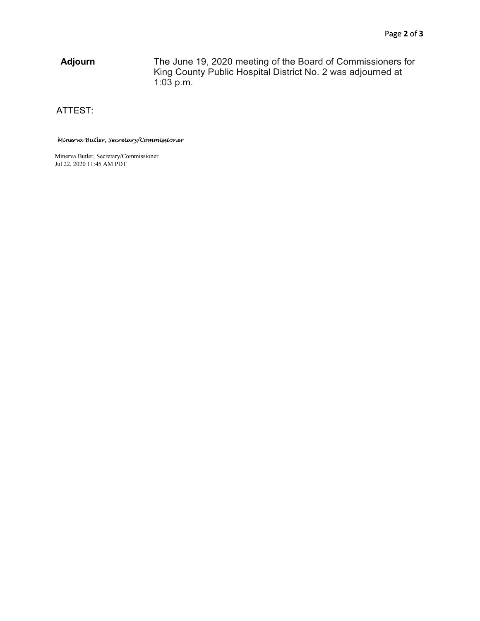Adjourn The June 19, 2020 meeting of the Board of Commissioners for King County Public Hospital District No. 2 was adjourned at 1:03 p.m.

ATTEST:

## Minerva Butler, Secretary/Commissioner

Minerva Butler, Secretary/Commissioner Jul 22, 2020 11:45 AM PDT